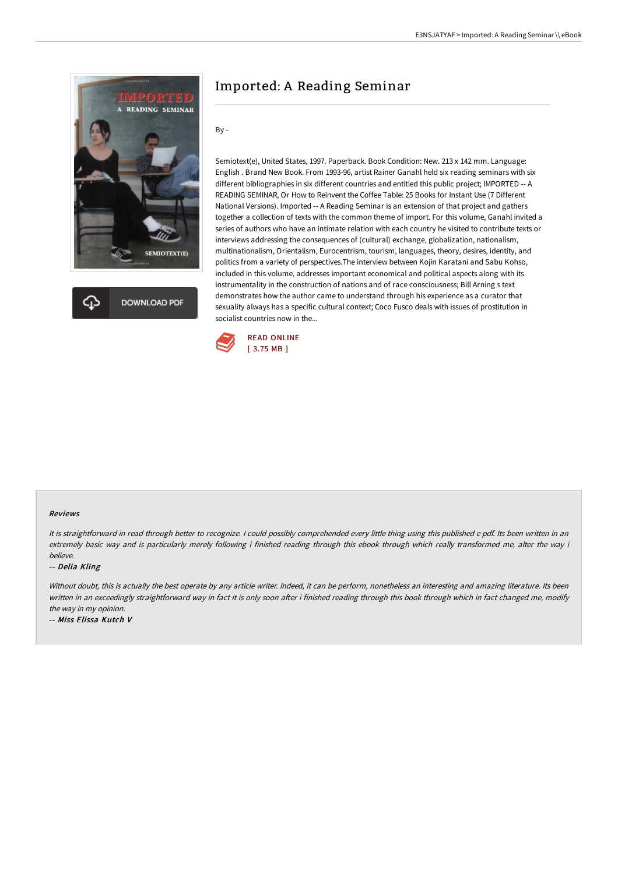



# Imported: A Reading Seminar

### By -

Semiotext(e), United States, 1997. Paperback. Book Condition: New. 213 x 142 mm. Language: English . Brand New Book. From 1993-96, artist Rainer Ganahl held six reading seminars with six different bibliographies in six different countries and entitled this public project; IMPORTED -- A READING SEMINAR, Or How to Reinvent the Coffee Table: 25 Books for Instant Use (7 Different National Versions). Imported -- A Reading Seminar is an extension of that project and gathers together a collection of texts with the common theme of import. For this volume, Ganahl invited a series of authors who have an intimate relation with each country he visited to contribute texts or interviews addressing the consequences of (cultural) exchange, globalization, nationalism, multinationalism, Orientalism, Eurocentrism, tourism, languages, theory, desires, identity, and politics from a variety of perspectives.The interview between Kojin Karatani and Sabu Kohso, included in this volume, addresses important economical and political aspects along with its instrumentality in the construction of nations and of race consciousness; Bill Arning s text demonstrates how the author came to understand through his experience as a curator that sexuality always has a specific cultural context; Coco Fusco deals with issues of prostitution in socialist countries now in the...



#### Reviews

It is straightforward in read through better to recognize. I could possibly comprehended every little thing using this published e pdf. Its been written in an extremely basic way and is particularly merely following i finished reading through this ebook through which really transformed me, alter the way i believe.

#### -- Delia Kling

Without doubt, this is actually the best operate by any article writer. Indeed, it can be perform, nonetheless an interesting and amazing literature. Its been written in an exceedingly straightforward way in fact it is only soon after i finished reading through this book through which in fact changed me, modify the way in my opinion.

-- Miss Elissa Kutch V